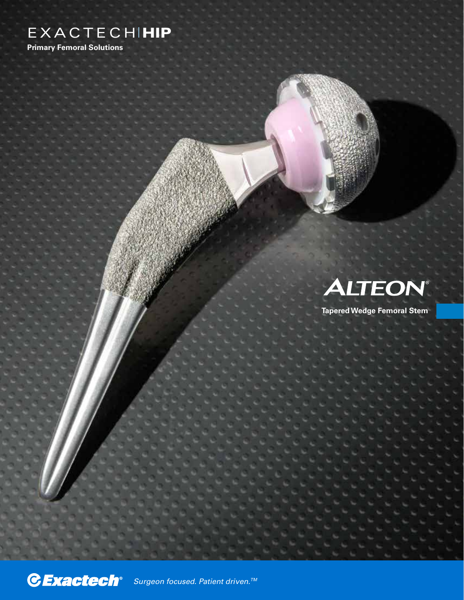## **EXACTECHIMIP**

**Primary Femoral Solutions**

# **ALTEON®**

**Tapered Wedge Femoral Stem**